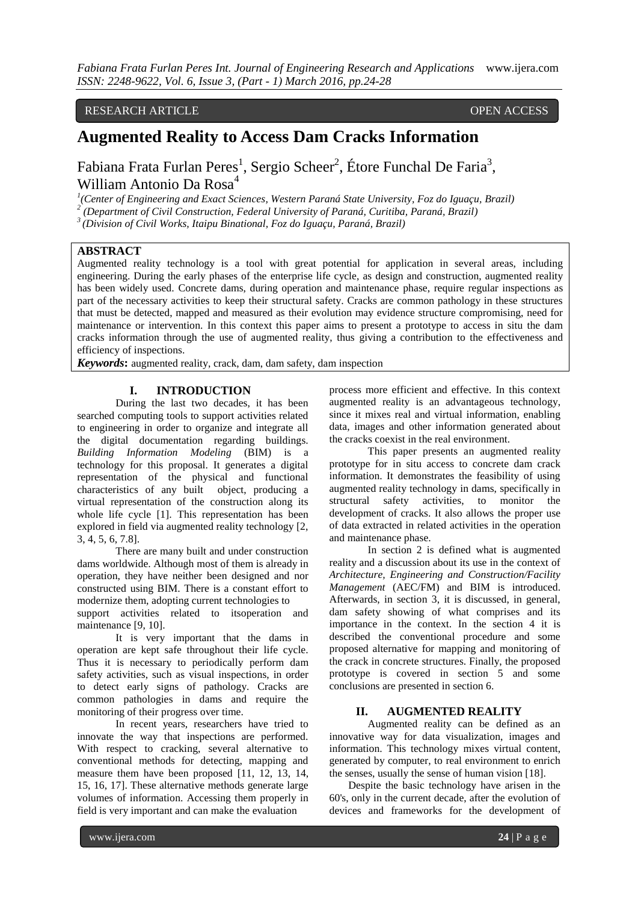# RESEARCH ARTICLE OPEN ACCESS

# **Augmented Reality to Access Dam Cracks Information**

Fabiana Frata Furlan Peres<sup>1</sup>, Sergio Scheer<sup>2</sup>, Étore Funchal De Faria<sup>3</sup>, William Antonio Da Rosa<sup>4</sup>

<sup>1</sup> (Center of Engineering and Exact Sciences, Western Paraná State University, Foz do Iguaçu, Brazil)<br><sup>2</sup> (Danartmant of Civil Construction, Eederal University of Paraná, Curitiba, Paraná, Brazil)

*(Department of Civil Construction, Federal University of Paraná, Curitiba, Paraná, Brazil)*

*3 (Division of Civil Works, Itaipu Binational, Foz do Iguaçu, Paraná, Brazil)*

#### **ABSTRACT**

Augmented reality technology is a tool with great potential for application in several areas, including engineering. During the early phases of the enterprise life cycle, as design and construction, augmented reality has been widely used. Concrete dams, during operation and maintenance phase, require regular inspections as part of the necessary activities to keep their structural safety. Cracks are common pathology in these structures that must be detected, mapped and measured as their evolution may evidence structure compromising, need for maintenance or intervention. In this context this paper aims to present a prototype to access in situ the dam cracks information through the use of augmented reality, thus giving a contribution to the effectiveness and efficiency of inspections.

*Keywords***:** augmented reality, crack, dam, dam safety, dam inspection

#### **I. INTRODUCTION**

During the last two decades, it has been searched computing tools to support activities related to engineering in order to organize and integrate all the digital documentation regarding buildings. *Building Information Modeling* (BIM) is a technology for this proposal. It generates a digital representation of the physical and functional characteristics of any built object, producing a virtual representation of the construction along its whole life cycle [1]. This representation has been explored in field via augmented reality technology [2, 3, 4, 5, 6, 7.8].

There are many built and under construction dams worldwide. Although most of them is already in operation, they have neither been designed and nor constructed using BIM. There is a constant effort to modernize them, adopting current technologies to support activities related to itsoperation and maintenance [9, 10].

It is very important that the dams in operation are kept safe throughout their life cycle. Thus it is necessary to periodically perform dam safety activities, such as visual inspections, in order to detect early signs of pathology. Cracks are common pathologies in dams and require the monitoring of their progress over time.

In recent years, researchers have tried to innovate the way that inspections are performed. With respect to cracking, several alternative to conventional methods for detecting, mapping and measure them have been proposed [11, 12, 13, 14, 15, 16, 17]. These alternative methods generate large volumes of information. Accessing them properly in field is very important and can make the evaluation

process more efficient and effective. In this context augmented reality is an advantageous technology, since it mixes real and virtual information, enabling data, images and other information generated about the cracks coexist in the real environment.

This paper presents an augmented reality prototype for in situ access to concrete dam crack information. It demonstrates the feasibility of using augmented reality technology in dams, specifically in structural safety activities, to monitor the structural safety activities, to monitor the development of cracks. It also allows the proper use of data extracted in related activities in the operation and maintenance phase.

In section 2 is defined what is augmented reality and a discussion about its use in the context of *Architecture, Engineering and Construction/Facility Management* (AEC/FM) and BIM is introduced. Afterwards, in section 3, it is discussed, in general, dam safety showing of what comprises and its importance in the context. In the section 4 it is described the conventional procedure and some proposed alternative for mapping and monitoring of the crack in concrete structures. Finally, the proposed prototype is covered in section 5 and some conclusions are presented in section 6.

### **II. AUGMENTED REALITY**

Augmented reality can be defined as an innovative way for data visualization, images and information. This technology mixes virtual content, generated by computer, to real environment to enrich the senses, usually the sense of human vision [18].

Despite the basic technology have arisen in the 60's, only in the current decade, after the evolution of devices and frameworks for the development of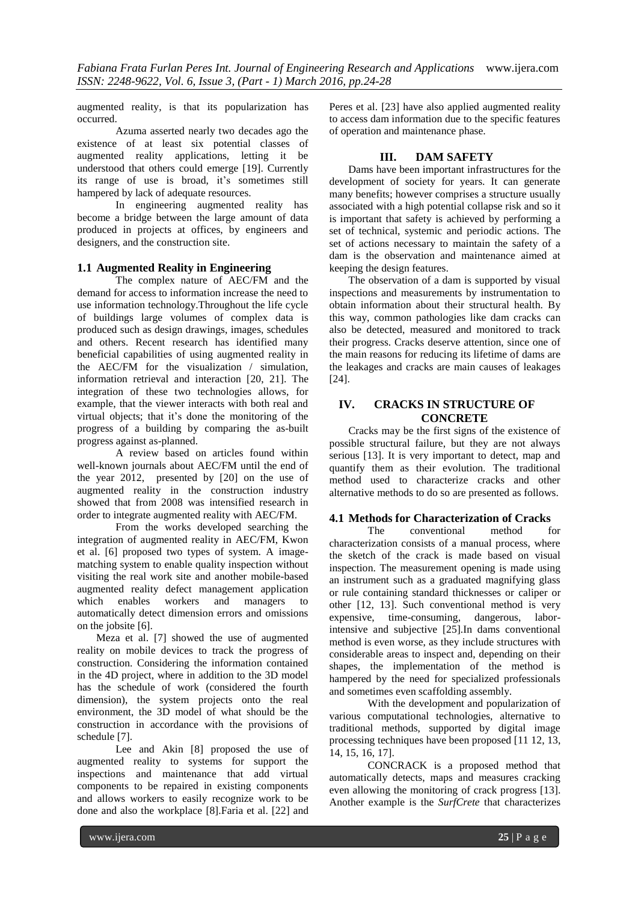augmented reality, is that its popularization has occurred.

Azuma asserted nearly two decades ago the existence of at least six potential classes of augmented reality applications, letting it be understood that others could emerge [19]. Currently its range of use is broad, it's sometimes still hampered by lack of adequate resources.

In engineering augmented reality has become a bridge between the large amount of data produced in projects at offices, by engineers and designers, and the construction site.

#### **1.1 Augmented Reality in Engineering**

The complex nature of AEC/FM and the demand for access to information increase the need to use information technology.Throughout the life cycle of buildings large volumes of complex data is produced such as design drawings, images, schedules and others. Recent research has identified many beneficial capabilities of using augmented reality in the AEC/FM for the visualization / simulation, information retrieval and interaction [20, 21]. The integration of these two technologies allows, for example, that the viewer interacts with both real and virtual objects; that it's done the monitoring of the progress of a building by comparing the as-built progress against as-planned.

A review based on articles found within well-known journals about AEC/FM until the end of the year 2012, presented by [20] on the use of augmented reality in the construction industry showed that from 2008 was intensified research in order to integrate augmented reality with AEC/FM.

From the works developed searching the integration of augmented reality in AEC/FM, Kwon et al. [6] proposed two types of system. A imagematching system to enable quality inspection without visiting the real work site and another mobile-based augmented reality defect management application which enables workers and managers to automatically detect dimension errors and omissions on the jobsite [6].

Meza et al. [7] showed the use of augmented reality on mobile devices to track the progress of construction. Considering the information contained in the 4D project, where in addition to the 3D model has the schedule of work (considered the fourth dimension), the system projects onto the real environment, the 3D model of what should be the construction in accordance with the provisions of schedule [7].

Lee and Akin [8] proposed the use of augmented reality to systems for support the inspections and maintenance that add virtual components to be repaired in existing components and allows workers to easily recognize work to be done and also the workplace [8].Faria et al. [22] and

Peres et al. [23] have also applied augmented reality to access dam information due to the specific features of operation and maintenance phase.

# **III. DAM SAFETY**

Dams have been important infrastructures for the development of society for years. It can generate many benefits; however comprises a structure usually associated with a high potential collapse risk and so it is important that safety is achieved by performing a set of technical, systemic and periodic actions. The set of actions necessary to maintain the safety of a dam is the observation and maintenance aimed at keeping the design features.

The observation of a dam is supported by visual inspections and measurements by instrumentation to obtain information about their structural health. By this way, common pathologies like dam cracks can also be detected, measured and monitored to track their progress. Cracks deserve attention, since one of the main reasons for reducing its lifetime of dams are the leakages and cracks are main causes of leakages [24].

# **IV. CRACKS IN STRUCTURE OF CONCRETE**

Cracks may be the first signs of the existence of possible structural failure, but they are not always serious [13]. It is very important to detect, map and quantify them as their evolution. The traditional method used to characterize cracks and other alternative methods to do so are presented as follows.

# **4.1 Methods for Characterization of Cracks**

The conventional method for characterization consists of a manual process, where the sketch of the crack is made based on visual inspection. The measurement opening is made using an instrument such as a graduated magnifying glass or rule containing standard thicknesses or caliper or other [12, 13]. Such conventional method is very expensive, time-consuming, dangerous, laborintensive and subjective [25].In dams conventional method is even worse, as they include structures with considerable areas to inspect and, depending on their shapes, the implementation of the method is hampered by the need for specialized professionals and sometimes even scaffolding assembly.

With the development and popularization of various computational technologies, alternative to traditional methods, supported by digital image processing techniques have been proposed [11 12, 13, 14, 15, 16, 17].

CONCRACK is a proposed method that automatically detects, maps and measures cracking even allowing the monitoring of crack progress [13]. Another example is the *SurfCrete* that characterizes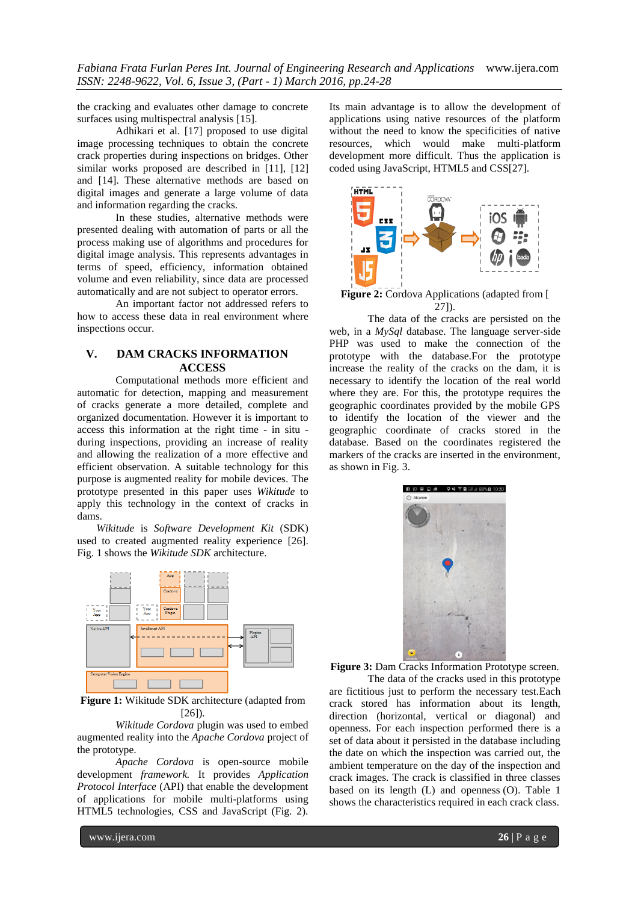*Fabiana Frata Furlan Peres Int. Journal of Engineering Research and Applications* www.ijera.com *ISSN: 2248-9622, Vol. 6, Issue 3, (Part - 1) March 2016, pp.24-28*

the cracking and evaluates other damage to concrete surfaces using multispectral analysis [15].

Adhikari et al. [17] proposed to use digital image processing techniques to obtain the concrete crack properties during inspections on bridges. Other similar works proposed are described in [11], [12] and [14]. These alternative methods are based on digital images and generate a large volume of data and information regarding the cracks.

In these studies, alternative methods were presented dealing with automation of parts or all the process making use of algorithms and procedures for digital image analysis. This represents advantages in terms of speed, efficiency, information obtained volume and even reliability, since data are processed automatically and are not subject to operator errors.

An important factor not addressed refers to how to access these data in real environment where inspections occur.

#### **V. DAM CRACKS INFORMATION ACCESS**

Computational methods more efficient and automatic for detection, mapping and measurement of cracks generate a more detailed, complete and organized documentation. However it is important to access this information at the right time - in situ during inspections, providing an increase of reality and allowing the realization of a more effective and efficient observation. A suitable technology for this purpose is augmented reality for mobile devices. The prototype presented in this paper uses *Wikitude* to apply this technology in the context of cracks in dams.

*Wikitude* is *Software Development Kit* (SDK) used to created augmented reality experience [26]. Fig. 1 shows the *Wikitude SDK* architecture.



**Figure 1:** Wikitude SDK architecture (adapted from [26]).

*Wikitude Cordova* plugin was used to embed augmented reality into the *Apache Cordova* project of the prototype.

*Apache Cordova* is open-source mobile development *framework.* It provides *Application Protocol Interface* (API) that enable the development of applications for mobile multi-platforms using HTML5 technologies, CSS and JavaScript (Fig. 2).

Its main advantage is to allow the development of applications using native resources of the platform without the need to know the specificities of native resources, which would make multi-platform development more difficult. Thus the application is coded using JavaScript, HTML5 and CSS[27].



**Figure 2:** Cordova Applications (adapted from [ 27]).

The data of the cracks are persisted on the web, in a *MySql* database. The language server-side PHP was used to make the connection of the prototype with the database.For the prototype increase the reality of the cracks on the dam, it is necessary to identify the location of the real world where they are. For this, the prototype requires the geographic coordinates provided by the mobile GPS to identify the location of the viewer and the geographic coordinate of cracks stored in the database. Based on the coordinates registered the markers of the cracks are inserted in the environment, as shown in Fig. 3.



Figure 3: Dam Cracks Information Prototype screen.

The data of the cracks used in this prototype are fictitious just to perform the necessary test.Each crack stored has information about its length, direction (horizontal, vertical or diagonal) and openness. For each inspection performed there is a set of data about it persisted in the database including the date on which the inspection was carried out, the ambient temperature on the day of the inspection and crack images. The crack is classified in three classes based on its length (L) and openness (O). Table 1 shows the characteristics required in each crack class.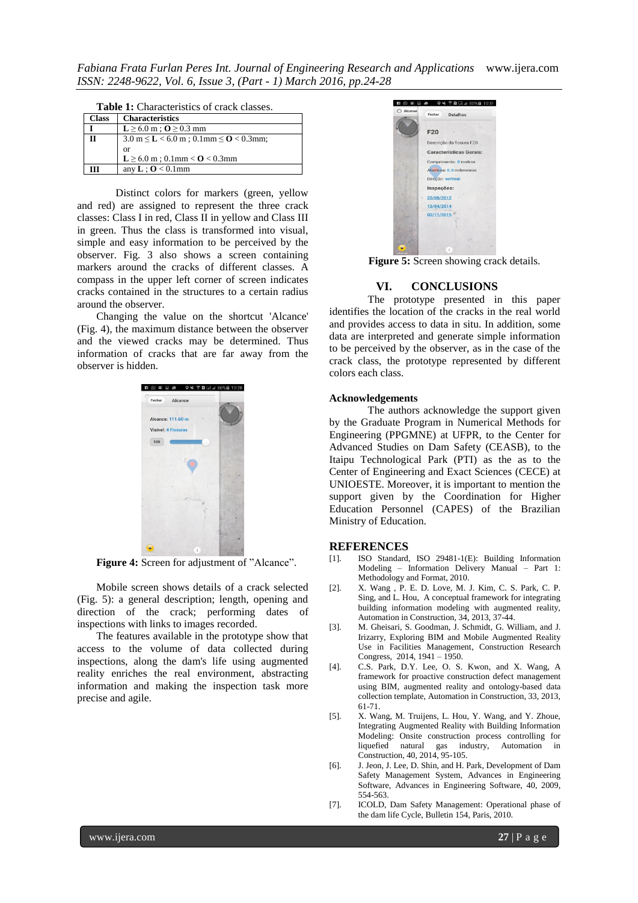*Fabiana Frata Furlan Peres Int. Journal of Engineering Research and Applications* www.ijera.com *ISSN: 2248-9622, Vol. 6, Issue 3, (Part - 1) March 2016, pp.24-28*

| <b>Table 1:</b> Characteristics of crack classes. |                                                                  |
|---------------------------------------------------|------------------------------------------------------------------|
| <b>Class</b>                                      | <b>Characteristics</b>                                           |
|                                                   | $L \geq 6.0$ m ; $Q \geq 0.3$ mm                                 |
| π                                                 | $3.0 \text{ m} \leq L < 6.0 \text{ m}$ ; 0.1mm $\leq$ O < 0.3mm; |
|                                                   | <sub>or</sub>                                                    |
|                                                   | $L \ge 6.0$ m; 0.1mm < $O$ < 0.3mm                               |
| ſT                                                | any $L$ ; $O < 0.1$ mm                                           |

Distinct colors for markers (green, yellow and red) are assigned to represent the three crack classes: Class I in red, Class II in yellow and Class III in green. Thus the class is transformed into visual, simple and easy information to be perceived by the observer. Fig. 3 also shows a screen containing markers around the cracks of different classes. A compass in the upper left corner of screen indicates cracks contained in the structures to a certain radius around the observer.

Changing the value on the shortcut 'Alcance' (Fig. 4), the maximum distance between the observer and the viewed cracks may be determined. Thus information of cracks that are far away from the observer is hidden.



**Figure 4:** Screen for adjustment of "Alcance".

Mobile screen shows details of a crack selected (Fig. 5): a general description; length, opening and direction of the crack; performing dates of inspections with links to images recorded.

The features available in the prototype show that access to the volume of data collected during inspections, along the dam's life using augmented reality enriches the real environment, abstracting information and making the inspection task more precise and agile.



**Figure 5:** Screen showing crack details.

#### **VI. CONCLUSIONS**

The prototype presented in this paper identifies the location of the cracks in the real world and provides access to data in situ. In addition, some data are interpreted and generate simple information to be perceived by the observer, as in the case of the crack class, the prototype represented by different colors each class.

#### **Acknowledgements**

The authors acknowledge the support given by the Graduate Program in Numerical Methods for Engineering (PPGMNE) at UFPR, to the Center for Advanced Studies on Dam Safety (CEASB), to the Itaipu Technological Park (PTI) as the as to the Center of Engineering and Exact Sciences (CECE) at UNIOESTE. Moreover, it is important to mention the support given by the Coordination for Higher Education Personnel (CAPES) of the Brazilian Ministry of Education.

#### **REFERENCES**

- [1]. ISO Standard, ISO 29481-1(E): Building Information Modeling – Information Delivery Manual – Part 1: Methodology and Format, 2010.
- [2]. X. Wang , P. E. D. Love, M. J. Kim, C. S. Park, C. P. Sing, and L. Hou, A conceptual framework for integrating building information modeling with augmented reality, Automation in Construction, 34, 2013, 37-44.
- [3]. M. Gheisari, S. Goodman, J. Schmidt, G. William, and J. Irizarry, Exploring BIM and Mobile Augmented Reality Use in Facilities Management, Construction Research Congress, 2014, 1941 – 1950.
- [4]. C.S. Park, D.Y. Lee, O. S. Kwon, and X. Wang, A framework for proactive construction defect management using BIM, augmented reality and ontology-based data collection template, Automation in Construction, 33, 2013, 61-71.
- [5]. X. Wang, M. Truijens, L. Hou, Y. Wang, and Y. Zhoue, Integrating Augmented Reality with Building Information Modeling: Onsite construction process controlling for liquefied natural gas industry, Automation in liquefied natural gas industry, Construction, 40, 2014, 95-105.
- [6]. J. Jeon, J. Lee, D. Shin, and H. Park, Development of Dam Safety Management System, Advances in Engineering Software, Advances in Engineering Software, 40, 2009, 554-563.
- [7]. ICOLD, Dam Safety Management: Operational phase of the dam life Cycle, Bulletin 154, Paris, 2010.